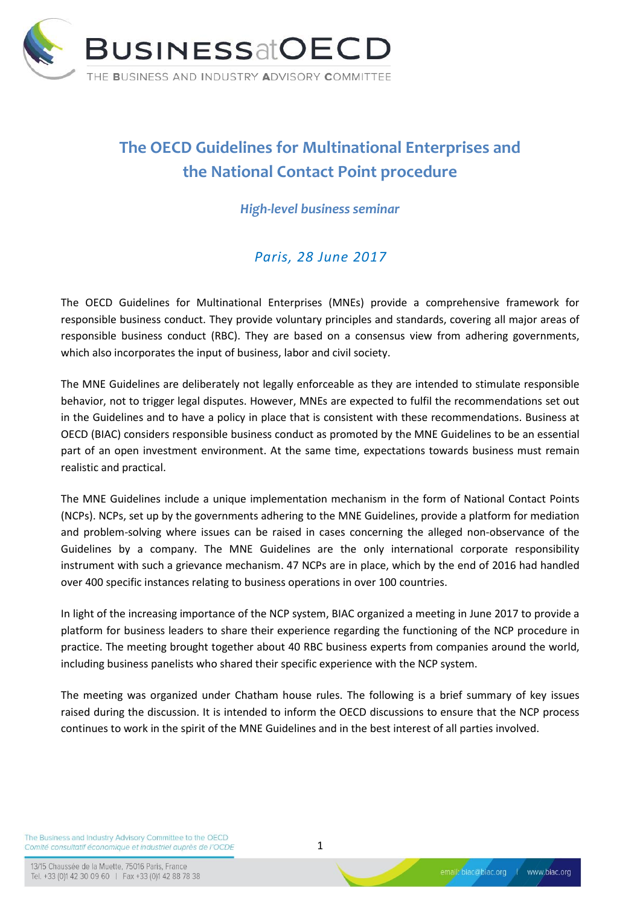

## **The OECD Guidelines for Multinational Enterprises and the National Contact Point procedure**

*High-level business seminar*

## *Paris, 28 June 2017*

The OECD Guidelines for Multinational Enterprises (MNEs) provide a comprehensive framework for responsible business conduct. They provide voluntary principles and standards, covering all major areas of responsible business conduct (RBC). They are based on a consensus view from adhering governments, which also incorporates the input of business, labor and civil society.

The MNE Guidelines are deliberately not legally enforceable as they are intended to stimulate responsible behavior, not to trigger legal disputes. However, MNEs are expected to fulfil the recommendations set out in the Guidelines and to have a policy in place that is consistent with these recommendations. Business at OECD (BIAC) considers responsible business conduct as promoted by the MNE Guidelines to be an essential part of an open investment environment. At the same time, expectations towards business must remain realistic and practical.

The MNE Guidelines include a unique implementation mechanism in the form of National Contact Points (NCPs). NCPs, set up by the governments adhering to the MNE Guidelines, provide a platform for mediation and problem‐solving where issues can be raised in cases concerning the alleged non‐observance of the Guidelines by a company. The MNE Guidelines are the only international corporate responsibility instrument with such a grievance mechanism. 47 NCPs are in place, which by the end of 2016 had handled over 400 specific instances relating to business operations in over 100 countries.

In light of the increasing importance of the NCP system, BIAC organized a meeting in June 2017 to provide a platform for business leaders to share their experience regarding the functioning of the NCP procedure in practice. The meeting brought together about 40 RBC business experts from companies around the world, including business panelists who shared their specific experience with the NCP system.

The meeting was organized under Chatham house rules. The following is a brief summary of key issues raised during the discussion. It is intended to inform the OECD discussions to ensure that the NCP process continues to work in the spirit of the MNE Guidelines and in the best interest of all parties involved.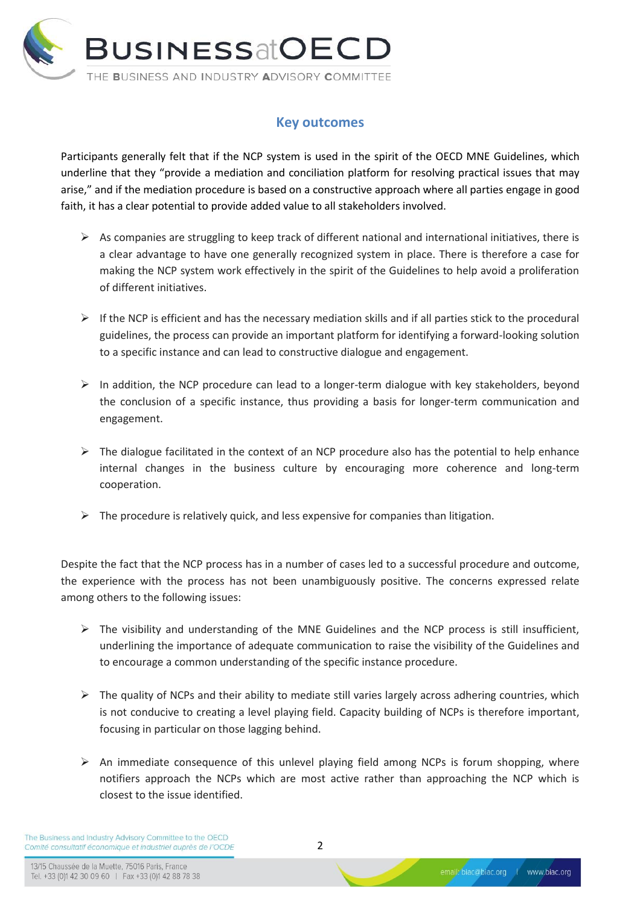

## **Key outcomes**

Participants generally felt that if the NCP system is used in the spirit of the OECD MNE Guidelines, which underline that they "provide a mediation and conciliation platform for resolving practical issues that may arise," and if the mediation procedure is based on a constructive approach where all parties engage in good faith, it has a clear potential to provide added value to all stakeholders involved.

- $\triangleright$  As companies are struggling to keep track of different national and international initiatives, there is a clear advantage to have one generally recognized system in place. There is therefore a case for making the NCP system work effectively in the spirit of the Guidelines to help avoid a proliferation of different initiatives.
- $\triangleright$  If the NCP is efficient and has the necessary mediation skills and if all parties stick to the procedural guidelines, the process can provide an important platform for identifying a forward-looking solution to a specific instance and can lead to constructive dialogue and engagement.
- $\triangleright$  In addition, the NCP procedure can lead to a longer-term dialogue with key stakeholders, beyond the conclusion of a specific instance, thus providing a basis for longer-term communication and engagement.
- $\triangleright$  The dialogue facilitated in the context of an NCP procedure also has the potential to help enhance internal changes in the business culture by encouraging more coherence and long-term cooperation.
- $\triangleright$  The procedure is relatively quick, and less expensive for companies than litigation.

Despite the fact that the NCP process has in a number of cases led to a successful procedure and outcome, the experience with the process has not been unambiguously positive. The concerns expressed relate among others to the following issues:

- $\triangleright$  The visibility and understanding of the MNE Guidelines and the NCP process is still insufficient, underlining the importance of adequate communication to raise the visibility of the Guidelines and to encourage a common understanding of the specific instance procedure.
- $\triangleright$  The quality of NCPs and their ability to mediate still varies largely across adhering countries, which is not conducive to creating a level playing field. Capacity building of NCPs is therefore important, focusing in particular on those lagging behind.
- $\triangleright$  An immediate consequence of this unlevel playing field among NCPs is forum shopping, where notifiers approach the NCPs which are most active rather than approaching the NCP which is closest to the issue identified.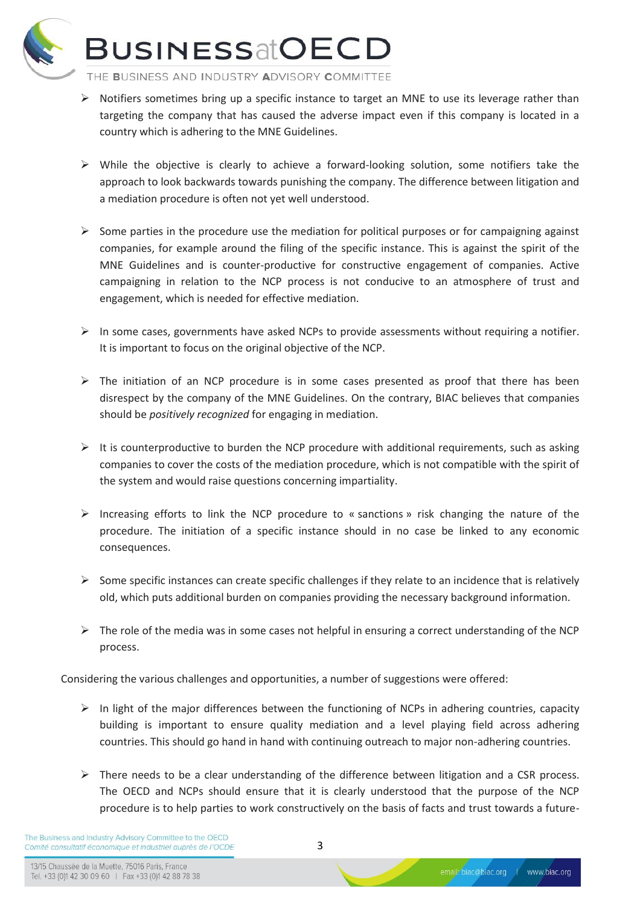

## **BUSINESSatOECD**

THE BUSINESS AND INDUSTRY ADVISORY COMMITTEE

- $\triangleright$  Notifiers sometimes bring up a specific instance to target an MNE to use its leverage rather than targeting the company that has caused the adverse impact even if this company is located in a country which is adhering to the MNE Guidelines.
- $\triangleright$  While the objective is clearly to achieve a forward-looking solution, some notifiers take the approach to look backwards towards punishing the company. The difference between litigation and a mediation procedure is often not yet well understood.
- $\triangleright$  Some parties in the procedure use the mediation for political purposes or for campaigning against companies, for example around the filing of the specific instance. This is against the spirit of the MNE Guidelines and is counter-productive for constructive engagement of companies. Active campaigning in relation to the NCP process is not conducive to an atmosphere of trust and engagement, which is needed for effective mediation.
- $\triangleright$  In some cases, governments have asked NCPs to provide assessments without requiring a notifier. It is important to focus on the original objective of the NCP.
- $\triangleright$  The initiation of an NCP procedure is in some cases presented as proof that there has been disrespect by the company of the MNE Guidelines. On the contrary, BIAC believes that companies should be *positively recognized* for engaging in mediation.
- $\triangleright$  It is counterproductive to burden the NCP procedure with additional requirements, such as asking companies to cover the costs of the mediation procedure, which is not compatible with the spirit of the system and would raise questions concerning impartiality.
- $\triangleright$  Increasing efforts to link the NCP procedure to « sanctions » risk changing the nature of the procedure. The initiation of a specific instance should in no case be linked to any economic consequences.
- $\triangleright$  Some specific instances can create specific challenges if they relate to an incidence that is relatively old, which puts additional burden on companies providing the necessary background information.
- $\triangleright$  The role of the media was in some cases not helpful in ensuring a correct understanding of the NCP process.

Considering the various challenges and opportunities, a number of suggestions were offered:

- $\triangleright$  In light of the major differences between the functioning of NCPs in adhering countries, capacity building is important to ensure quality mediation and a level playing field across adhering countries. This should go hand in hand with continuing outreach to major non-adhering countries.
- $\triangleright$  There needs to be a clear understanding of the difference between litigation and a CSR process. The OECD and NCPs should ensure that it is clearly understood that the purpose of the NCP procedure is to help parties to work constructively on the basis of facts and trust towards a future-